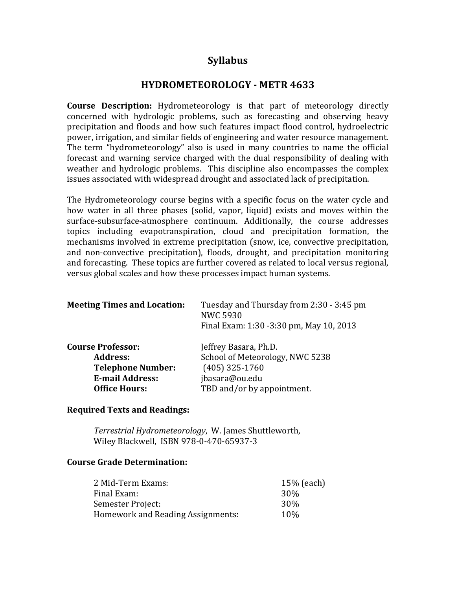# **Syllabus**

## **HYDROMETEOROLOGY - METR 4633**

**Course Description:** Hydrometeorology is that part of meteorology directly concerned with hydrologic problems, such as forecasting and observing heavy precipitation and floods and how such features impact flood control, hydroelectric power, irrigation, and similar fields of engineering and water resource management. The term "hydrometeorology" also is used in many countries to name the official forecast and warning service charged with the dual responsibility of dealing with weather and hydrologic problems. This discipline also encompasses the complex issues associated with widespread drought and associated lack of precipitation.

The Hydrometeorology course begins with a specific focus on the water cycle and how water in all three phases (solid, vapor, liquid) exists and moves within the surface-subsurface-atmosphere continuum. Additionally, the course addresses topics including evapotranspiration, cloud and precipitation formation, the mechanisms involved in extreme precipitation (snow, ice, convective precipitation, and non-convective precipitation), floods, drought, and precipitation monitoring and forecasting. These topics are further covered as related to local versus regional. versus global scales and how these processes impact human systems.

| Tuesday and Thursday from 2:30 - 3:45 pm<br><b>NWC 5930</b><br>Final Exam: 1:30 -3:30 pm, May 10, 2013 |
|--------------------------------------------------------------------------------------------------------|
| Jeffrey Basara, Ph.D.                                                                                  |
| School of Meteorology, NWC 5238                                                                        |
| $(405)$ 325-1760                                                                                       |
| jbasara@ou.edu                                                                                         |
| TBD and/or by appointment.                                                                             |
|                                                                                                        |

## **Required Texts and Readings:**

*Terrestrial Hydrometeorology*, W. James Shuttleworth, Wiley Blackwell, ISBN 978-0-470-65937-3

#### **Course Grade Determination:**

| 2 Mid-Term Exams:                 | $15\%$ (each)   |
|-----------------------------------|-----------------|
| Final Exam:                       | 30%             |
| Semester Project:                 | 30 <sup>%</sup> |
| Homework and Reading Assignments: | 10%             |